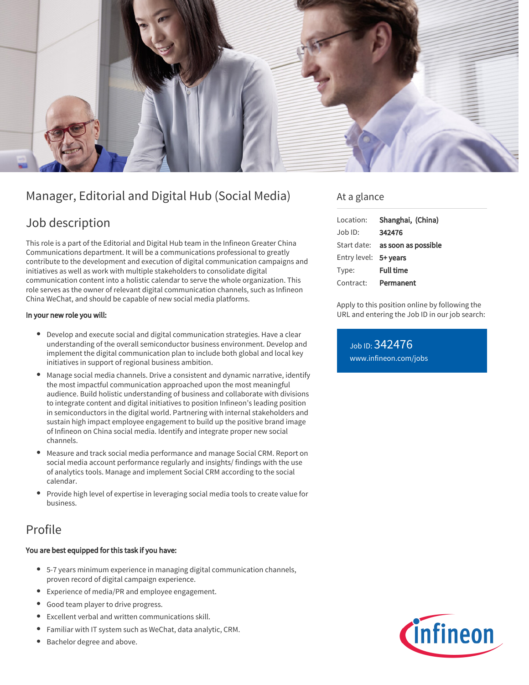

# Manager, Editorial and Digital Hub (Social Media)

### Job description

This role is a part of the Editorial and Digital Hub team in the Infineon Greater China Communications department. It will be a communications professional to greatly contribute to the development and execution of digital communication campaigns and initiatives as well as work with multiple stakeholders to consolidate digital communication content into a holistic calendar to serve the whole organization. This role serves as the owner of relevant digital communication channels, such as Infineon China WeChat, and should be capable of new social media platforms.

#### In your new role you will:

- Develop and execute social and digital communication strategies. Have a clear understanding of the overall semiconductor business environment. Develop and implement the digital communication plan to include both global and local key initiatives in support of regional business ambition.
- Manage social media channels. Drive a consistent and dynamic narrative, identify the most impactful communication approached upon the most meaningful audience. Build holistic understanding of business and collaborate with divisions to integrate content and digital initiatives to position Infineon's leading position in semiconductors in the digital world. Partnering with internal stakeholders and sustain high impact employee engagement to build up the positive brand image of Infineon on China social media. Identify and integrate proper new social channels.
- Measure and track social media performance and manage Social CRM. Report on social media account performance regularly and insights/ findings with the use of analytics tools. Manage and implement Social CRM according to the social calendar.
- Provide high level of expertise in leveraging social media tools to create value for business.

## Profile

#### You are best equipped for this task if you have:

- 5-7 years minimum experience in managing digital communication channels, proven record of digital campaign experience.
- Experience of media/PR and employee engagement.
- Good team player to drive progress.
- Excellent verbal and written communications skill.
- Familiar with IT system such as WeChat, data analytic, CRM.
- Bachelor degree and above.

### At a glance

| Location:             | Shanghai, (China)                      |
|-----------------------|----------------------------------------|
| $Joh$ ID:             | 342476                                 |
|                       | Start date: <b>as soon as possible</b> |
| Entry level: 5+ years |                                        |
| Type:                 | <b>Full time</b>                       |
| Contract:             | Permanent                              |

Apply to this position online by following the URL and entering the Job ID in our job search:

Job ID: 342476 [www.infineon.com/jobs](https://www.infineon.com/jobs)